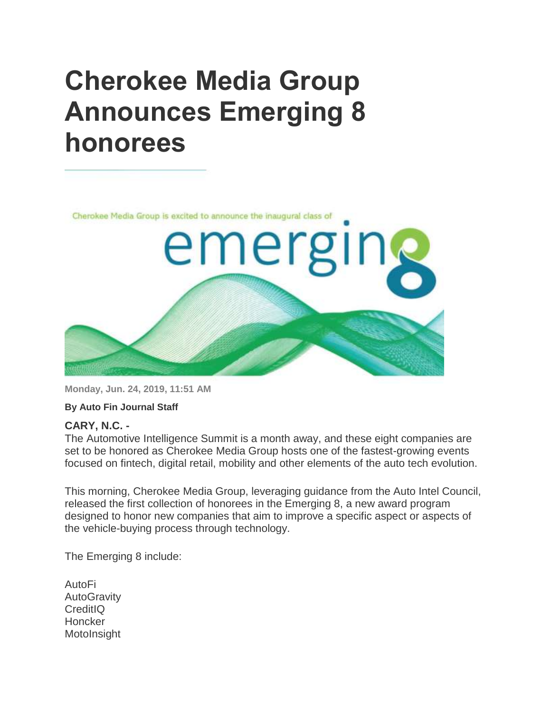## **Cherokee Media Group Announces Emerging 8 honorees**



**Monday, Jun. 24, 2019, 11:51 AM**

**By Auto Fin Journal Staff**

## **CARY, N.C. -**

The Automotive Intelligence Summit is a month away, and these eight companies are set to be honored as Cherokee Media Group hosts one of the fastest-growing events focused on fintech, digital retail, mobility and other elements of the auto tech evolution.

This morning, Cherokee Media Group, leveraging guidance from the Auto Intel Council, released the first collection of honorees in the Emerging 8, a new award program designed to honor new companies that aim to improve a specific aspect or aspects of the vehicle-buying process through technology.

The Emerging 8 include:

AutoFi **AutoGravity** CreditIQ **Honcker** MotoInsight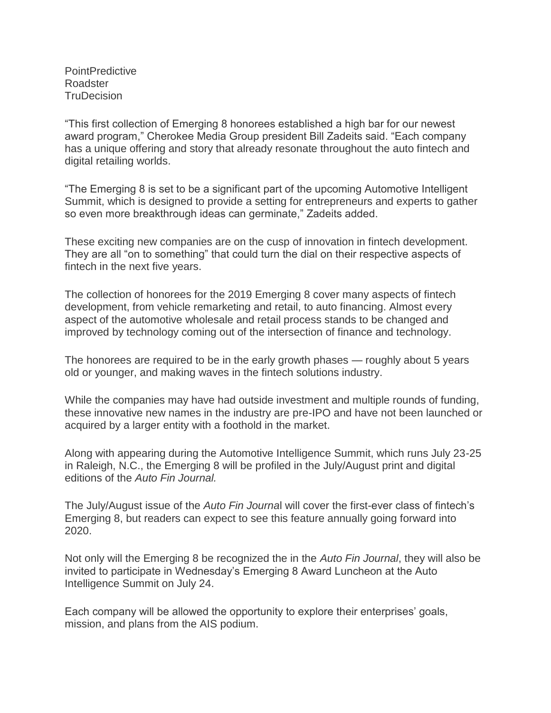**PointPredictive** Roadster **TruDecision** 

"This first collection of Emerging 8 honorees established a high bar for our newest award program," Cherokee Media Group president Bill Zadeits said. "Each company has a unique offering and story that already resonate throughout the auto fintech and digital retailing worlds.

"The Emerging 8 is set to be a significant part of the upcoming Automotive Intelligent Summit, which is designed to provide a setting for entrepreneurs and experts to gather so even more breakthrough ideas can germinate," Zadeits added.

These exciting new companies are on the cusp of innovation in fintech development. They are all "on to something" that could turn the dial on their respective aspects of fintech in the next five years.

The collection of honorees for the 2019 Emerging 8 cover many aspects of fintech development, from vehicle remarketing and retail, to auto financing. Almost every aspect of the automotive wholesale and retail process stands to be changed and improved by technology coming out of the intersection of finance and technology.

The honorees are required to be in the early growth phases — roughly about 5 years old or younger, and making waves in the fintech solutions industry.

While the companies may have had outside investment and multiple rounds of funding, these innovative new names in the industry are pre-IPO and have not been launched or acquired by a larger entity with a foothold in the market.

Along with appearing during the Automotive Intelligence Summit, which runs July 23-25 in Raleigh, N.C., the Emerging 8 will be profiled in the July/August print and digital editions of the *Auto Fin Journal.*

The July/August issue of the *Auto Fin Journa*l will cover the first-ever class of fintech's Emerging 8, but readers can expect to see this feature annually going forward into 2020.

Not only will the Emerging 8 be recognized the in the *Auto Fin Journal*, they will also be invited to participate in Wednesday's Emerging 8 Award Luncheon at the Auto Intelligence Summit on July 24.

Each company will be allowed the opportunity to explore their enterprises' goals, mission, and plans from the AIS podium.